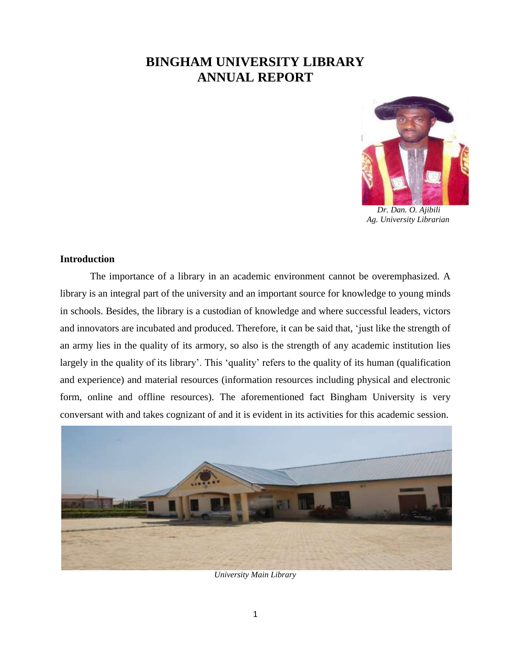# **BINGHAM UNIVERSITY LIBRARY ANNUAL REPORT**



 *Dr. Dan. O. Ajibili Ag. University Librarian*

### **Introduction**

The importance of a library in an academic environment cannot be overemphasized. A library is an integral part of the university and an important source for knowledge to young minds in schools. Besides, the library is a custodian of knowledge and where successful leaders, victors and innovators are incubated and produced. Therefore, it can be said that, 'just like the strength of an army lies in the quality of its armory, so also is the strength of any academic institution lies largely in the quality of its library'. This 'quality' refers to the quality of its human (qualification and experience) and material resources (information resources including physical and electronic form, online and offline resources). The aforementioned fact Bingham University is very conversant with and takes cognizant of and it is evident in its activities for this academic session.



*University Main Library*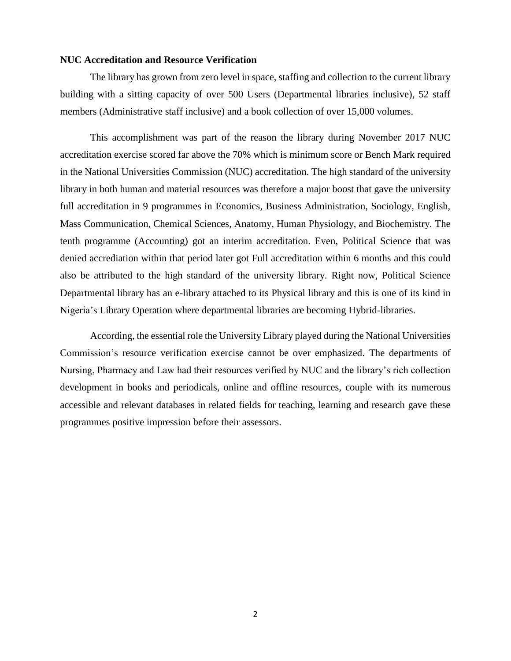#### **NUC Accreditation and Resource Verification**

The library has grown from zero level in space, staffing and collection to the current library building with a sitting capacity of over 500 Users (Departmental libraries inclusive), 52 staff members (Administrative staff inclusive) and a book collection of over 15,000 volumes.

This accomplishment was part of the reason the library during November 2017 NUC accreditation exercise scored far above the 70% which is minimum score or Bench Mark required in the National Universities Commission (NUC) accreditation. The high standard of the university library in both human and material resources was therefore a major boost that gave the university full accreditation in 9 programmes in Economics, Business Administration, Sociology, English, Mass Communication, Chemical Sciences, Anatomy, Human Physiology, and Biochemistry. The tenth programme (Accounting) got an interim accreditation. Even, Political Science that was denied accrediation within that period later got Full accreditation within 6 months and this could also be attributed to the high standard of the university library. Right now, Political Science Departmental library has an e-library attached to its Physical library and this is one of its kind in Nigeria's Library Operation where departmental libraries are becoming Hybrid-libraries.

According, the essential role the University Library played during the National Universities Commission's resource verification exercise cannot be over emphasized. The departments of Nursing, Pharmacy and Law had their resources verified by NUC and the library's rich collection development in books and periodicals, online and offline resources, couple with its numerous accessible and relevant databases in related fields for teaching, learning and research gave these programmes positive impression before their assessors.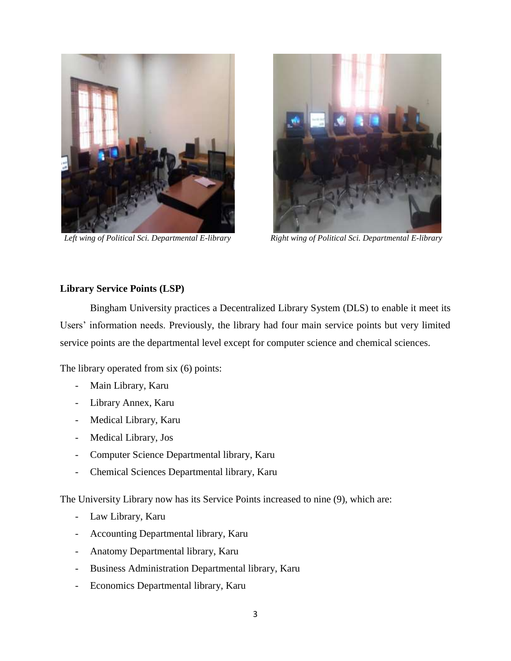



 *Left wing of Political Sci. Departmental E-library Right wing of Political Sci. Departmental E-library*

# **Library Service Points (LSP)**

Bingham University practices a Decentralized Library System (DLS) to enable it meet its Users' information needs. Previously, the library had four main service points but very limited service points are the departmental level except for computer science and chemical sciences.

The library operated from six (6) points:

- Main Library, Karu
- Library Annex, Karu
- Medical Library, Karu
- Medical Library, Jos
- Computer Science Departmental library, Karu
- Chemical Sciences Departmental library, Karu

The University Library now has its Service Points increased to nine (9), which are:

- Law Library, Karu
- Accounting Departmental library, Karu
- Anatomy Departmental library, Karu
- Business Administration Departmental library, Karu
- Economics Departmental library, Karu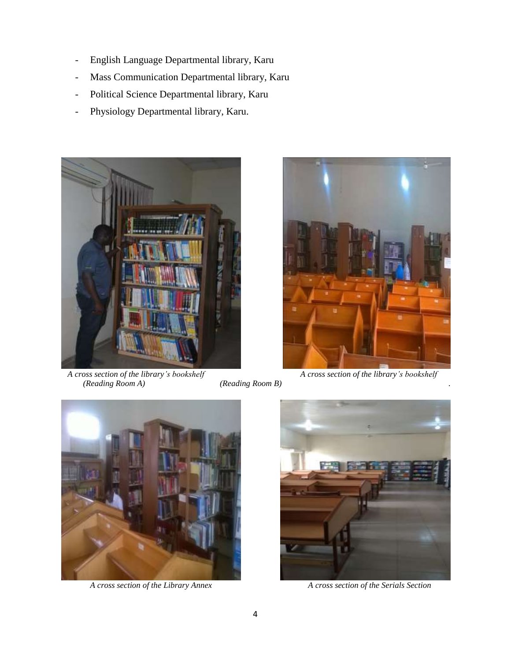- English Language Departmental library, Karu
- Mass Communication Departmental library, Karu
- Political Science Departmental library, Karu
- Physiology Departmental library, Karu.



*A cross section of the library's bookshelf A cross section of the library's bookshelf (Reading Room B) A cross section of the library's bookshelf* 





*A cross section of the Library Annex A cross section of the Serials Section* 



 *(Reading Room A) (Reading Room B) .*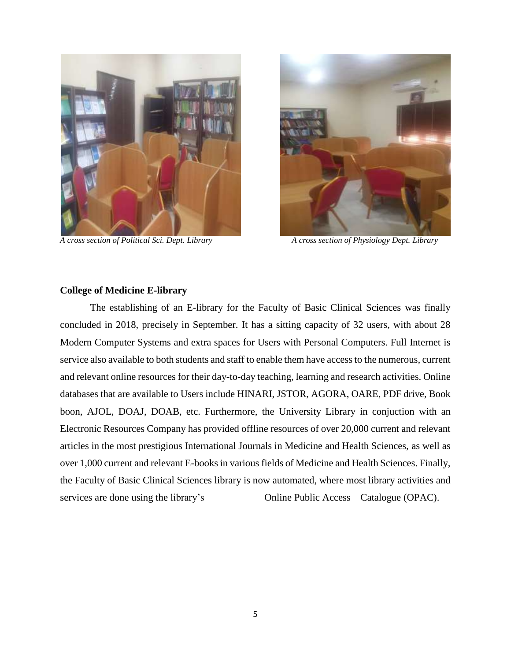

*A cross section of Political Sci. Dept. Library A cross section of Physiology Dept. Library*



#### **College of Medicine E-library**

The establishing of an E-library for the Faculty of Basic Clinical Sciences was finally concluded in 2018, precisely in September. It has a sitting capacity of 32 users, with about 28 Modern Computer Systems and extra spaces for Users with Personal Computers. Full Internet is service also available to both students and staff to enable them have access to the numerous, current and relevant online resources for their day-to-day teaching, learning and research activities. Online databases that are available to Users include HINARI, JSTOR, AGORA, OARE, PDF drive, Book boon, AJOL, DOAJ, DOAB, etc. Furthermore, the University Library in conjuction with an Electronic Resources Company has provided offline resources of over 20,000 current and relevant articles in the most prestigious International Journals in Medicine and Health Sciences, as well as over 1,000 current and relevant E-books in various fields of Medicine and Health Sciences. Finally, the Faculty of Basic Clinical Sciences library is now automated, where most library activities and services are done using the library's Online Public Access Catalogue (OPAC).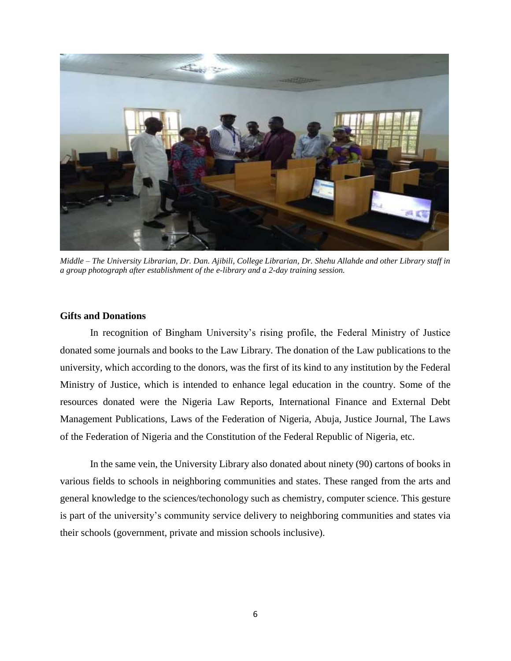

*Middle – The University Librarian, Dr. Dan. Ajibili, College Librarian, Dr. Shehu Allahde and other Library staff in a group photograph after establishment of the e-library and a 2-day training session.*

#### **Gifts and Donations**

In recognition of Bingham University's rising profile, the Federal Ministry of Justice donated some journals and books to the Law Library. The donation of the Law publications to the university, which according to the donors, was the first of its kind to any institution by the Federal Ministry of Justice, which is intended to enhance legal education in the country. Some of the resources donated were the Nigeria Law Reports, International Finance and External Debt Management Publications, Laws of the Federation of Nigeria, Abuja, Justice Journal, The Laws of the Federation of Nigeria and the Constitution of the Federal Republic of Nigeria, etc.

In the same vein, the University Library also donated about ninety (90) cartons of books in various fields to schools in neighboring communities and states. These ranged from the arts and general knowledge to the sciences/techonology such as chemistry, computer science. This gesture is part of the university's community service delivery to neighboring communities and states via their schools (government, private and mission schools inclusive).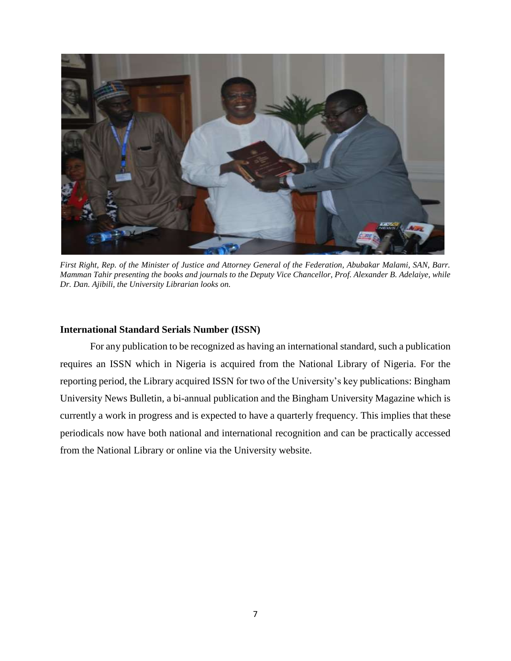

*First Right, Rep. of the Minister of Justice and Attorney General of the Federation, Abubakar Malami, SAN, Barr. Mamman Tahir presenting the books and journals to the Deputy Vice Chancellor, Prof. Alexander B. Adelaiye, while Dr. Dan. Ajibili, the University Librarian looks on.* 

## **International Standard Serials Number (ISSN)**

For any publication to be recognized as having an international standard, such a publication requires an ISSN which in Nigeria is acquired from the National Library of Nigeria. For the reporting period, the Library acquired ISSN for two of the University's key publications: Bingham University News Bulletin, a bi-annual publication and the Bingham University Magazine which is currently a work in progress and is expected to have a quarterly frequency. This implies that these periodicals now have both national and international recognition and can be practically accessed from the National Library or online via the University website.